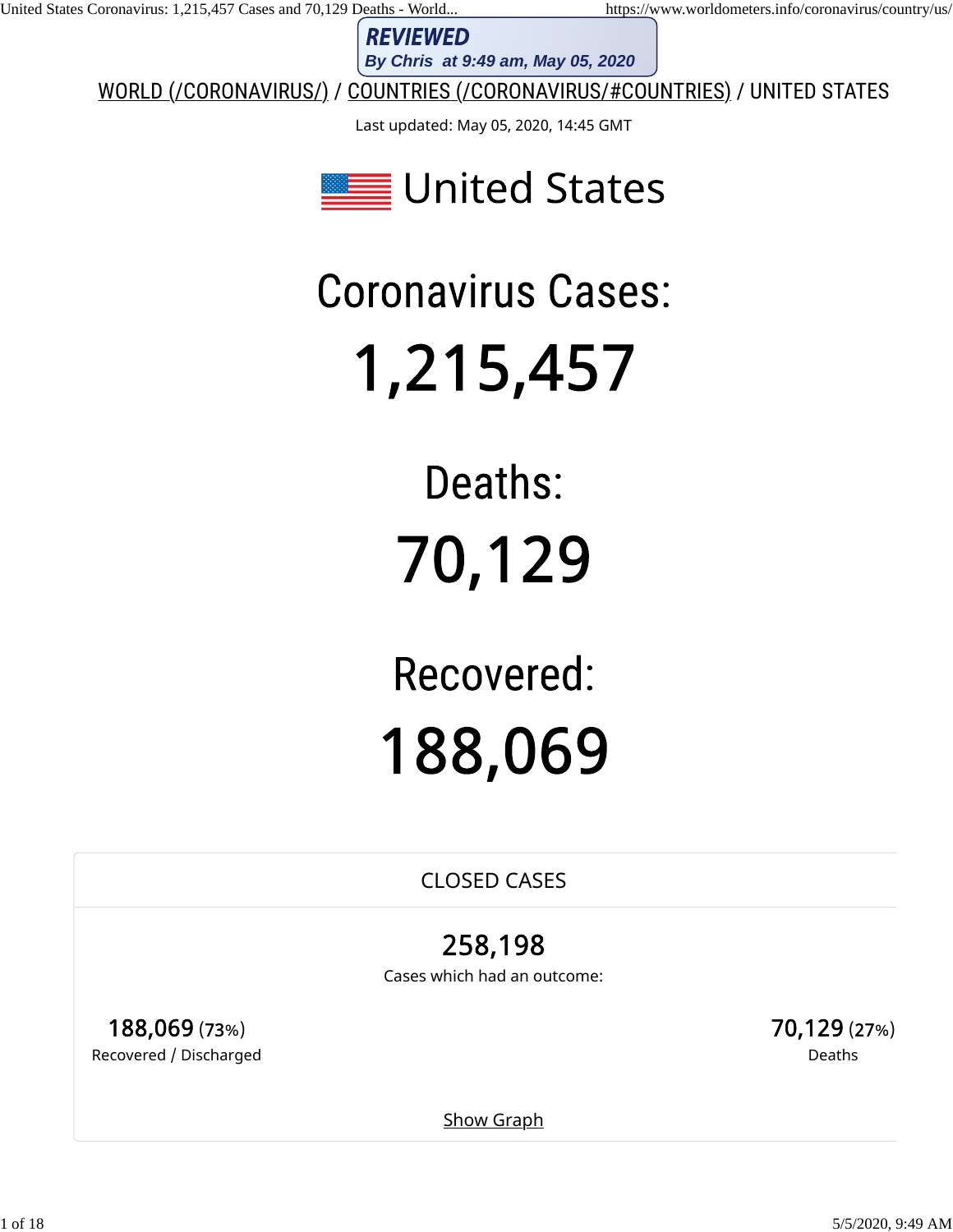**REVIEWED** 

WORLD (/CORONAVIRUS/) / COUNTRIES (/CORONAVIRUS/#COUNTRIES) / UNITED STATES

Last updated: May 05, 2020, 14:45 GMT



1 of 18 5/5/2020, 9:49 AM **By Chris at 9:49 am, May 05, 2020**

CLOSED CASES

Cases which had an outcome:

188,069 (73%) Recovered / Discharged 70,129 (27%) Deaths

**Show Graph**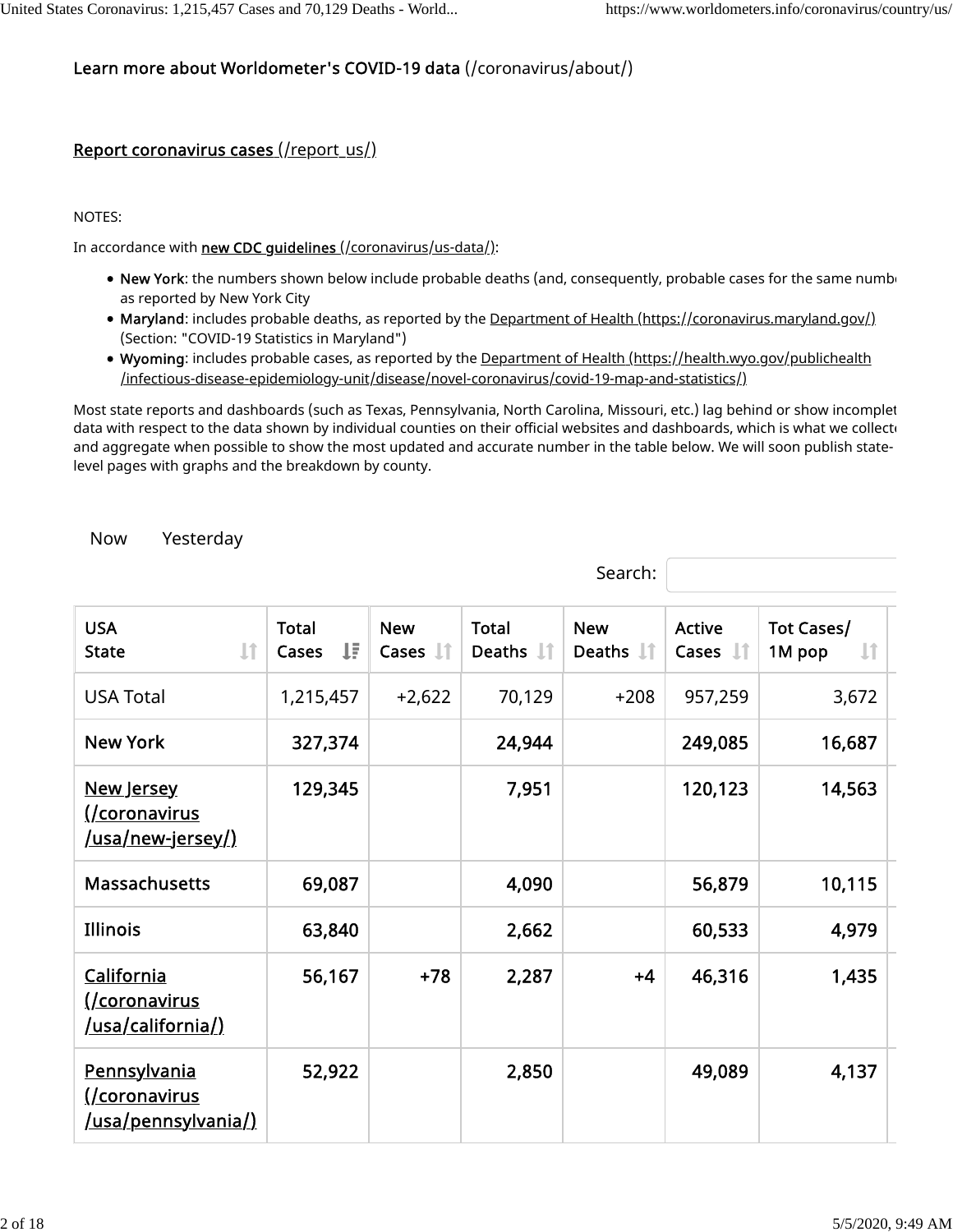#### Learn more about Worldometer's COVID-19 data (/coronavirus/about/)

#### Report coronavirus cases (/report\_us/)

NOTES:

In accordance with new CDC guidelines (/coronavirus/us-data/):

- New York: the numbers shown below include probable deaths (and, consequently, probable cases for the same numbe as reported by New York City
- Maryland: includes probable deaths, as reported by the Department of Health (https://coronavirus.maryland.gov/) (Section: "COVID-19 Statistics in Maryland")
- Wyoming: includes probable cases, as reported by the Department of Health (https://health.wyo.gov/publichealth /infectious-disease-epidemiology-unit/disease/novel-coronavirus/covid-19-map-and-statistics/)

Most state reports and dashboards (such as Texas, Pennsylvania, North Carolina, Missouri, etc.) lag behind or show incomplet data with respect to the data shown by individual counties on their official websites and dashboards, which is what we collect and aggregate when possible to show the most updated and accurate number in the table below. We will soon publish statelevel pages with graphs and the breakdown by county.

Search:

Now Yesterday

| <b>USA</b><br>Jî<br><b>State</b>                                          | <b>Total</b><br>ΨĒ<br>Cases | <b>New</b><br>Cases $\mathbb{I}$ | <b>Total</b><br>Deaths <b>I</b> | <b>New</b><br>Deaths $\downarrow \uparrow$ | <b>Active</b><br>Cases $\Box$ | Tot Cases/<br>$\downarrow$ î<br>1M pop |
|---------------------------------------------------------------------------|-----------------------------|----------------------------------|---------------------------------|--------------------------------------------|-------------------------------|----------------------------------------|
| <b>USA Total</b>                                                          | 1,215,457                   | $+2,622$                         | 70,129                          | $+208$                                     | 957,259                       | 3,672                                  |
| <b>New York</b>                                                           | 327,374                     |                                  | 24,944                          |                                            | 249,085                       | 16,687                                 |
| New Jersey<br>(/coronavirus<br><u>/usa/new-jersey/)</u>                   | 129,345                     |                                  | 7,951                           |                                            | 120,123                       | 14,563                                 |
| <b>Massachusetts</b>                                                      | 69,087                      |                                  | 4,090                           |                                            | 56,879                        | 10,115                                 |
| <b>Illinois</b>                                                           | 63,840                      |                                  | 2,662                           |                                            | 60,533                        | 4,979                                  |
| California<br><u>(/coronavirus</u><br><u>/usa/california/)</u>            | 56,167                      | $+78$                            | 2,287                           | $+4$                                       | 46,316                        | 1,435                                  |
| <b>Pennsylvania</b><br><u>(/coronavirus</u><br><u>/usa/pennsylvania/)</u> | 52,922                      |                                  | 2,850                           |                                            | 49,089                        | 4,137                                  |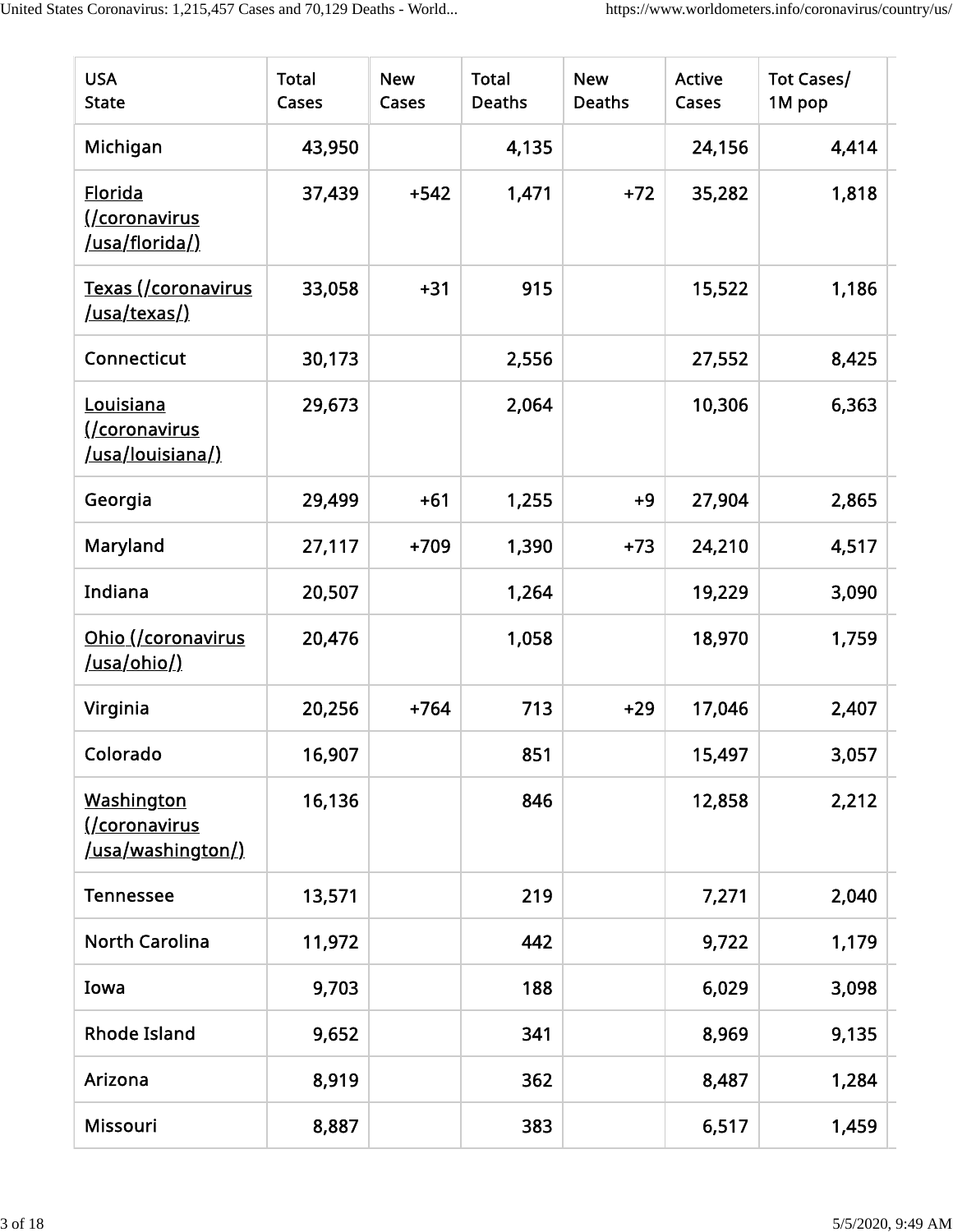| <b>USA</b><br><b>State</b>                                     | <b>Total</b><br>Cases | <b>New</b><br>Cases | <b>Total</b><br><b>Deaths</b> | <b>New</b><br><b>Deaths</b> | <b>Active</b><br>Cases | Tot Cases/<br>1M pop |
|----------------------------------------------------------------|-----------------------|---------------------|-------------------------------|-----------------------------|------------------------|----------------------|
| Michigan                                                       | 43,950                |                     | 4,135                         |                             | 24,156                 | 4,414                |
| <b>Florida</b><br><u>(/coronavirus</u><br>/usa/florida/)       | 37,439                | $+542$              | 1,471                         | $+72$                       | 35,282                 | 1,818                |
| <u>Texas (/coronavirus</u><br><u>/usa/texas/)</u>              | 33,058                | $+31$               | 915                           |                             | 15,522                 | 1,186                |
| Connecticut                                                    | 30,173                |                     | 2,556                         |                             | 27,552                 | 8,425                |
| Louisiana<br><u>(/coronavirus</u><br>/usa/louisiana/)          | 29,673                |                     | 2,064                         |                             | 10,306                 | 6,363                |
| Georgia                                                        | 29,499                | $+61$               | 1,255                         | $+9$                        | 27,904                 | 2,865                |
| Maryland                                                       | 27,117                | $+709$              | 1,390                         | $+73$                       | 24,210                 | 4,517                |
| Indiana                                                        | 20,507                |                     | 1,264                         |                             | 19,229                 | 3,090                |
| Ohio (/coronavirus<br><u>/usa/ohio/)</u>                       | 20,476                |                     | 1,058                         |                             | 18,970                 | 1,759                |
| Virginia                                                       | 20,256                | $+764$              | 713                           | $+29$                       | 17,046                 | 2,407                |
| Colorado                                                       | 16,907                |                     | 851                           |                             | 15,497                 | 3,057                |
| <b>Washington</b><br>(/coronavirus<br><u>/usa/washington/)</u> | 16,136                |                     | 846                           |                             | 12,858                 | 2,212                |
| <b>Tennessee</b>                                               | 13,571                |                     | 219                           |                             | 7,271                  | 2,040                |
| <b>North Carolina</b>                                          | 11,972                |                     | 442                           |                             | 9,722                  | 1,179                |
| Iowa                                                           | 9,703                 |                     | 188                           |                             | 6,029                  | 3,098                |
| <b>Rhode Island</b>                                            | 9,652                 |                     | 341                           |                             | 8,969                  | 9,135                |
| Arizona                                                        | 8,919                 |                     | 362                           |                             | 8,487                  | 1,284                |
| Missouri                                                       | 8,887                 |                     | 383                           |                             | 6,517                  | 1,459                |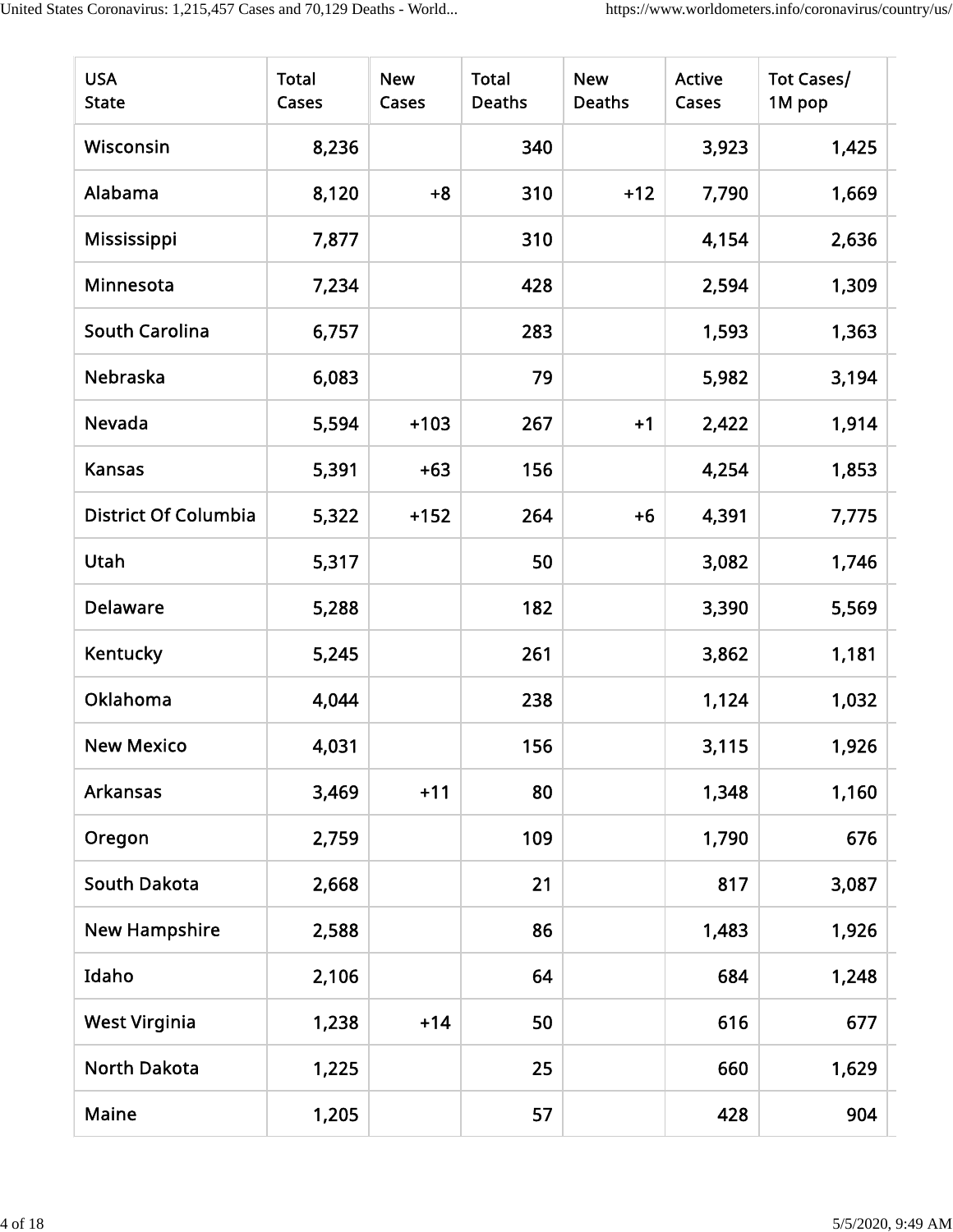| <b>USA</b><br><b>State</b>  | <b>Total</b><br>Cases | <b>New</b><br>Cases | <b>Total</b><br><b>Deaths</b> | <b>New</b><br><b>Deaths</b> | <b>Active</b><br>Cases | Tot Cases/<br>1M pop |
|-----------------------------|-----------------------|---------------------|-------------------------------|-----------------------------|------------------------|----------------------|
| Wisconsin                   | 8,236                 |                     | 340                           |                             | 3,923                  | 1,425                |
| Alabama                     | 8,120                 | $+8$                | 310                           | $+12$                       | 7,790                  | 1,669                |
| Mississippi                 | 7,877                 |                     | 310                           |                             | 4,154                  | 2,636                |
| Minnesota                   | 7,234                 |                     | 428                           |                             | 2,594                  | 1,309                |
| <b>South Carolina</b>       | 6,757                 |                     | 283                           |                             | 1,593                  | 1,363                |
| Nebraska                    | 6,083                 |                     | 79                            |                             | 5,982                  | 3,194                |
| Nevada                      | 5,594                 | $+103$              | 267                           | $+1$                        | 2,422                  | 1,914                |
| <b>Kansas</b>               | 5,391                 | $+63$               | 156                           |                             | 4,254                  | 1,853                |
| <b>District Of Columbia</b> | 5,322                 | $+152$              | 264                           | $+6$                        | 4,391                  | 7,775                |
| Utah                        | 5,317                 |                     | 50                            |                             | 3,082                  | 1,746                |
| <b>Delaware</b>             | 5,288                 |                     | 182                           |                             | 3,390                  | 5,569                |
| <b>Kentucky</b>             | 5,245                 |                     | 261                           |                             | 3,862                  | 1,181                |
| <b>Oklahoma</b>             | 4,044                 |                     | 238                           |                             | 1,124                  | 1,032                |
| <b>New Mexico</b>           | 4,031                 |                     | 156                           |                             | 3,115                  | 1,926                |
| Arkansas                    | 3,469                 | $+11$               | 80                            |                             | 1,348                  | 1,160                |
| Oregon                      | 2,759                 |                     | 109                           |                             | 1,790                  | 676                  |
| <b>South Dakota</b>         | 2,668                 |                     | 21                            |                             | 817                    | 3,087                |
| <b>New Hampshire</b>        | 2,588                 |                     | 86                            |                             | 1,483                  | 1,926                |
| Idaho                       | 2,106                 |                     | 64                            |                             | 684                    | 1,248                |
| <b>West Virginia</b>        | 1,238                 | $+14$               | 50                            |                             | 616                    | 677                  |
| <b>North Dakota</b>         | 1,225                 |                     | 25                            |                             | 660                    | 1,629                |
| Maine                       | 1,205                 |                     | 57                            |                             | 428                    | 904                  |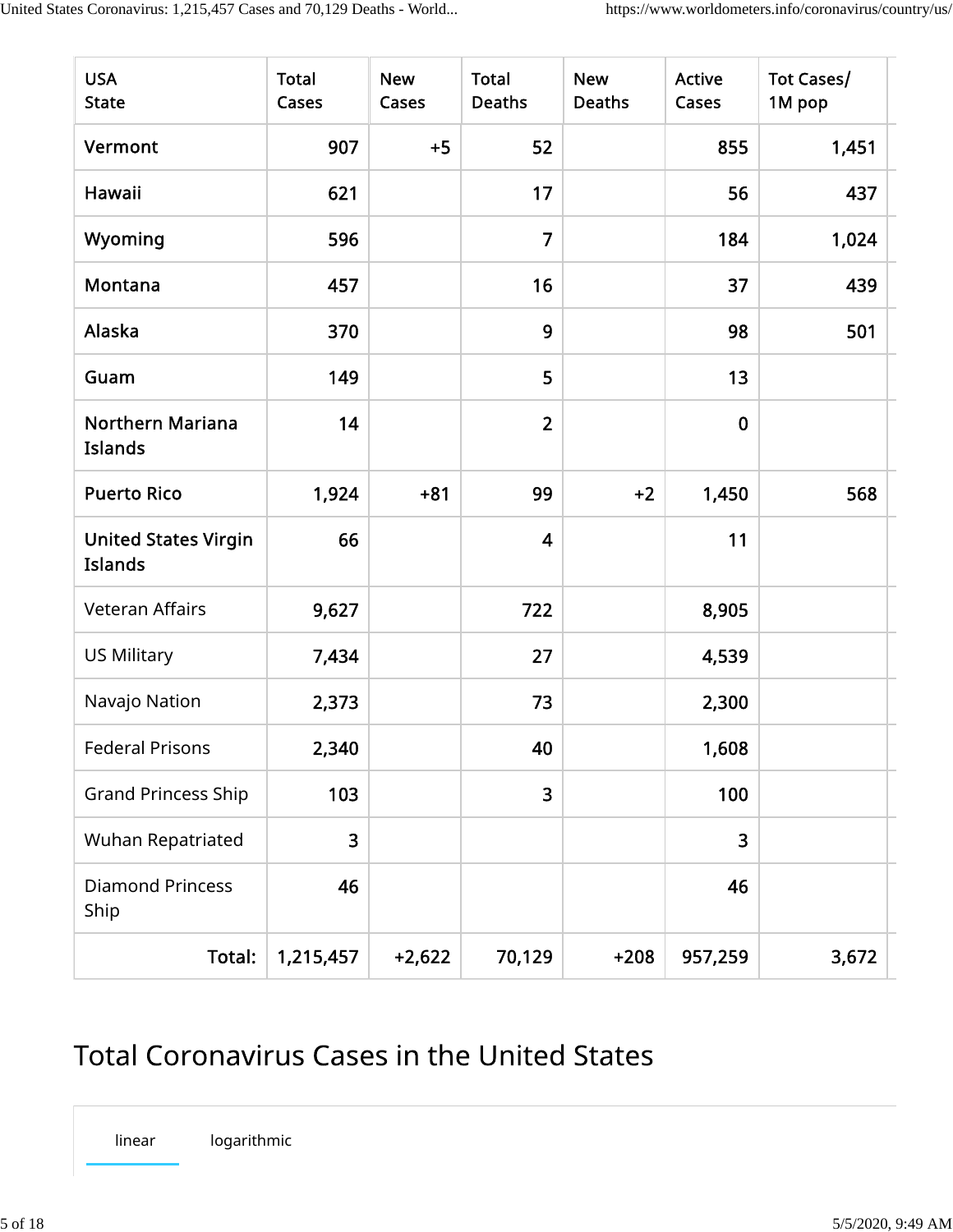| <b>USA</b><br><b>State</b>                    | <b>Total</b><br>Cases | <b>New</b><br>Cases | <b>Total</b><br><b>Deaths</b> | <b>New</b><br><b>Deaths</b> | <b>Active</b><br>Cases | Tot Cases/<br>1M pop |
|-----------------------------------------------|-----------------------|---------------------|-------------------------------|-----------------------------|------------------------|----------------------|
| Vermont                                       | 907                   | $+5$                | 52                            |                             | 855                    | 1,451                |
| Hawaii                                        | 621                   |                     | 17                            |                             | 56                     | 437                  |
| Wyoming                                       | 596                   |                     | $\overline{7}$                |                             | 184                    | 1,024                |
| Montana                                       | 457                   |                     | 16                            |                             | 37                     | 439                  |
| Alaska                                        | 370                   |                     | 9                             |                             | 98                     | 501                  |
| Guam                                          | 149                   |                     | 5                             |                             | 13                     |                      |
| <b>Northern Mariana</b><br>Islands            | 14                    |                     | $\overline{2}$                |                             | $\mathbf 0$            |                      |
| <b>Puerto Rico</b>                            | 1,924                 | $+81$               | 99                            | $+2$                        | 1,450                  | 568                  |
| <b>United States Virgin</b><br><b>Islands</b> | 66                    |                     | $\overline{\mathbf{4}}$       |                             | 11                     |                      |
| <b>Veteran Affairs</b>                        | 9,627                 |                     | 722                           |                             | 8,905                  |                      |
| <b>US Military</b>                            | 7,434                 |                     | 27                            |                             | 4,539                  |                      |
| Navajo Nation                                 | 2,373                 |                     | 73                            |                             | 2,300                  |                      |
| <b>Federal Prisons</b>                        | 2,340                 |                     | 40                            |                             | 1,608                  |                      |
| <b>Grand Princess Ship</b>                    | 103                   |                     | 3                             |                             | 100                    |                      |
| Wuhan Repatriated                             | 3                     |                     |                               |                             | 3                      |                      |
| <b>Diamond Princess</b><br>Ship               | 46                    |                     |                               |                             | 46                     |                      |
| Total:                                        | 1,215,457             | $+2,622$            | 70,129                        | $+208$                      | 957,259                | 3,672                |

## **Total Coronavirus Cases in the United States**

linear logarithmic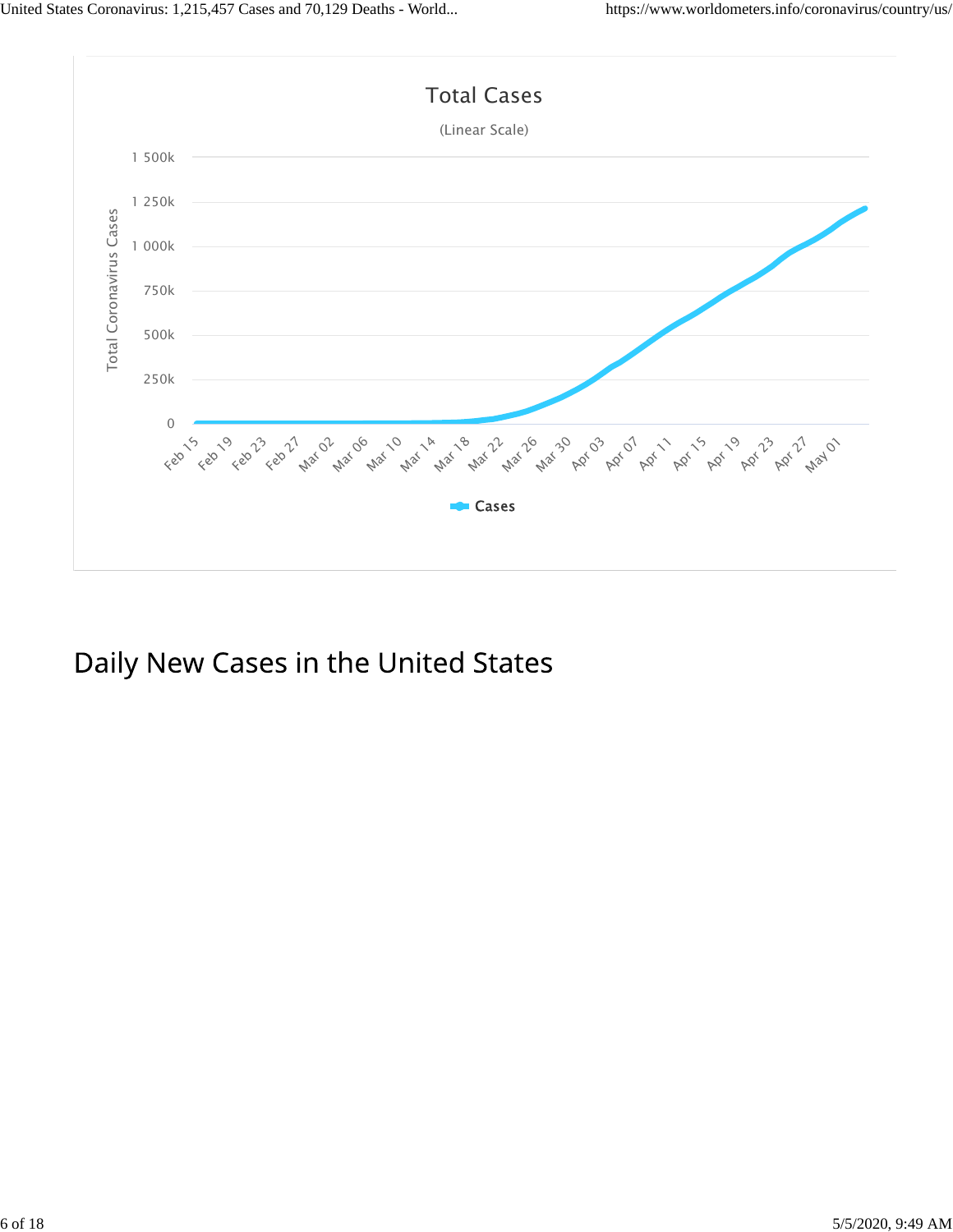

Daily New Cases in the United States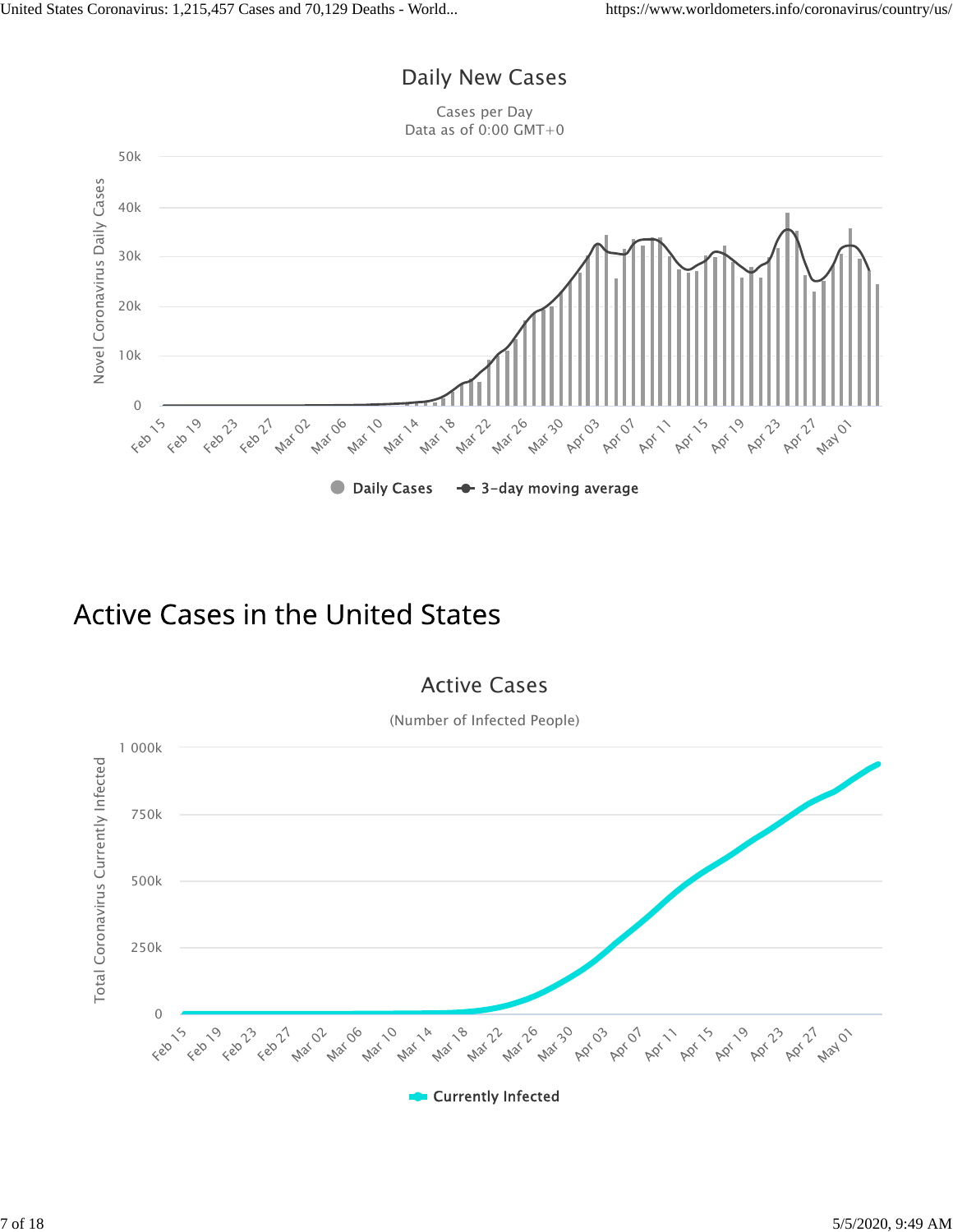### Daily New Cases

Cases per Day Data as of 0:00 GMT+0



### **Active Cases in the United States**

### Active Cases

(Number of Infected People)

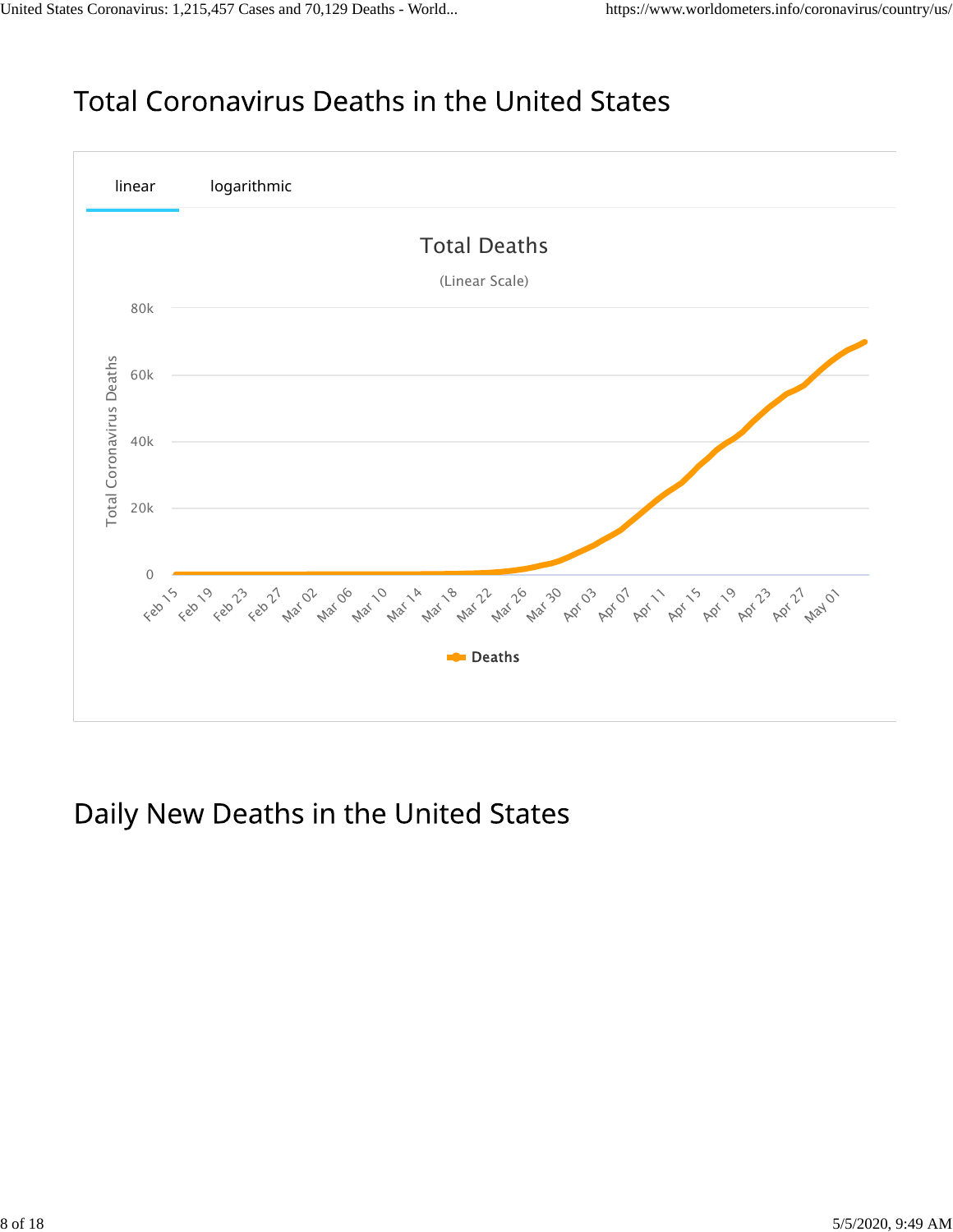## **Total Coronavirus Deaths in the United States**



## Daily New Deaths in the United States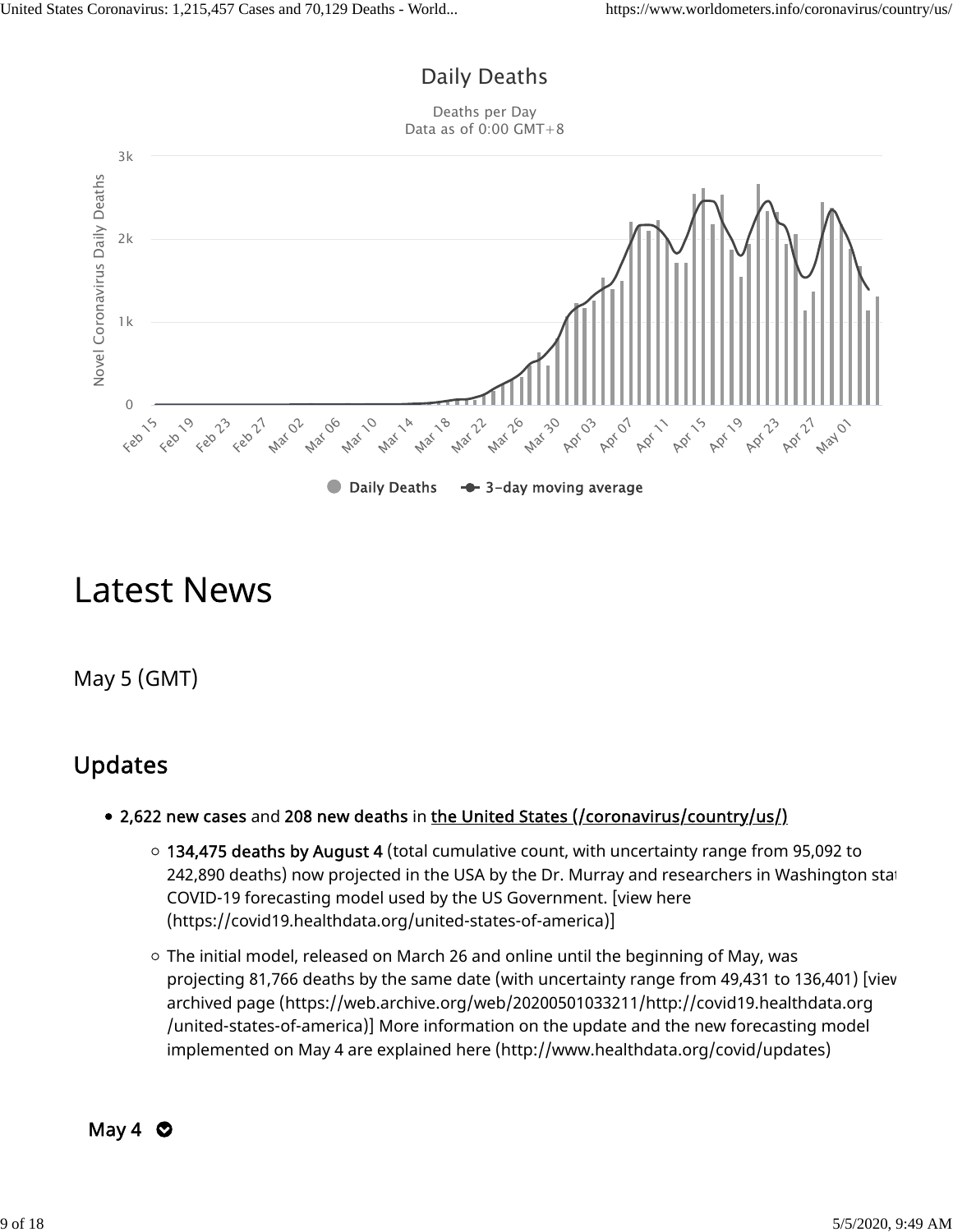### Daily Deaths

Deaths per Day Data as of 0:00 GMT+8



# **Latest News**

May 5 (GMT)

### Updates

- 2,622 new cases and 208 new deaths in the United States (/coronavirus/country/us/)
	- 134,475 deaths by August 4 (total cumulative count, with uncertainty range from 95,092 to 242,890 deaths) now projected in the USA by the Dr. Murray and researchers in Washington stat COVID-19 forecasting model used by the US Government. [view here (https://covid19.healthdata.org/united-states-of-america)]
	- $\circ$  The initial model, released on March 26 and online until the beginning of May, was projecting 81,766 deaths by the same date (with uncertainty range from 49,431 to 136,401) [view archived page (https://web.archive.org/web/20200501033211/http://covid19.healthdata.org /united-states-of-america)] More information on the update and the new forecasting model implemented on May 4 are explained here (http://www.healthdata.org/covid/updates)

$$
May 4 \bullet
$$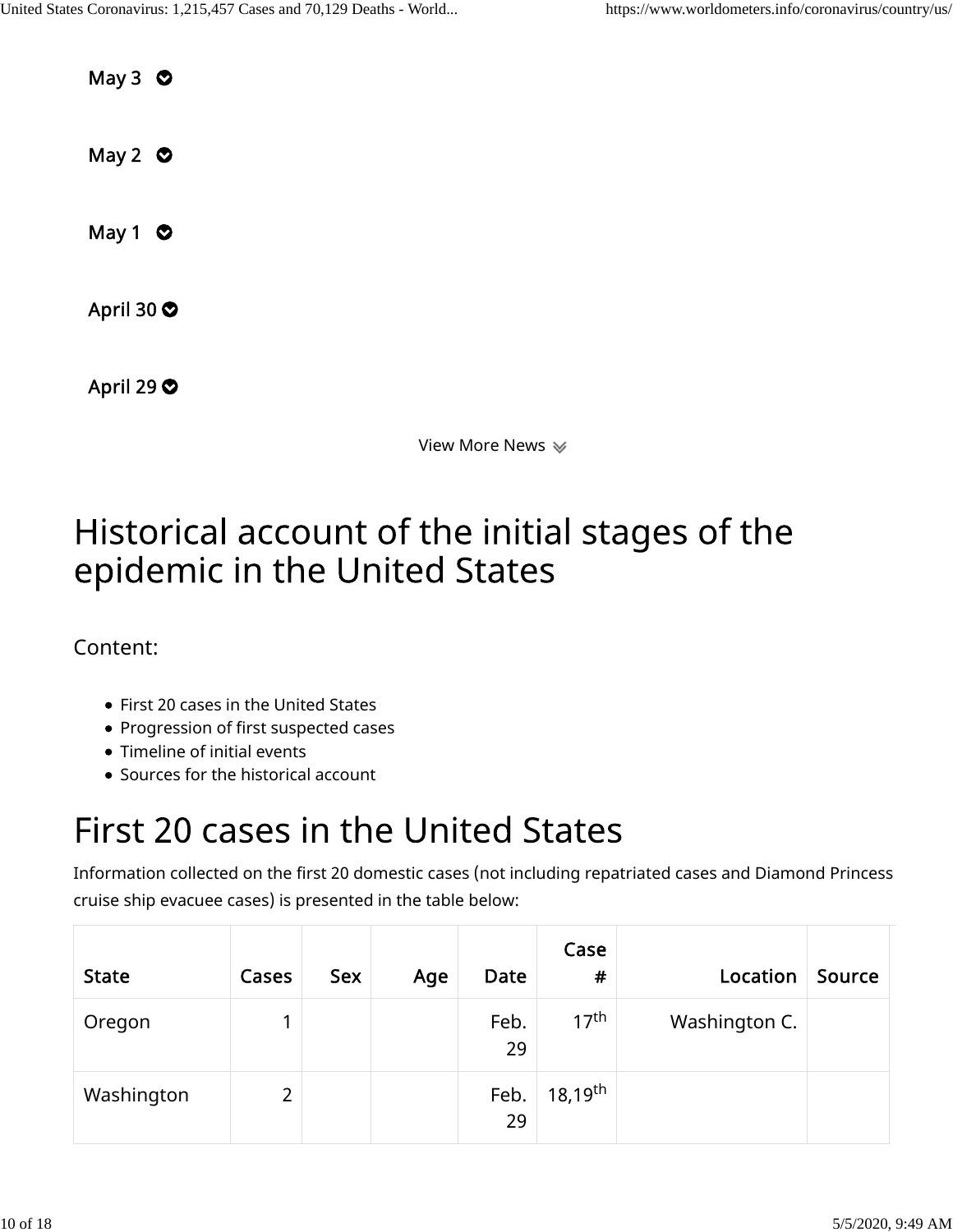May  $3$   $\bullet$ May 2  $\bullet$ May 1  $\bullet$ April 30  $\bullet$ April 29  $\bullet$ 

View More News

# Historical account of the initial stages of the epidemic in the United States

### Content:

- First 20 cases in the United States
- Progression of first suspected cases
- Timeline of initial events
- Sources for the historical account

# First 20 cases in the United States

Information collected on the first 20 domestic cases (not including repatriated cases and Diamond Princess cruise ship evacuee cases) is presented in the table below:

| <b>State</b> | Cases | <b>Sex</b> | Age | Date       | Case<br>$\pmb{\#}$    | Location      | Source |
|--------------|-------|------------|-----|------------|-----------------------|---------------|--------|
| Oregon       |       |            |     | Feb.<br>29 | 17 <sup>th</sup>      | Washington C. |        |
| Washington   | 2     |            |     | Feb.<br>29 | $18,19$ <sup>th</sup> |               |        |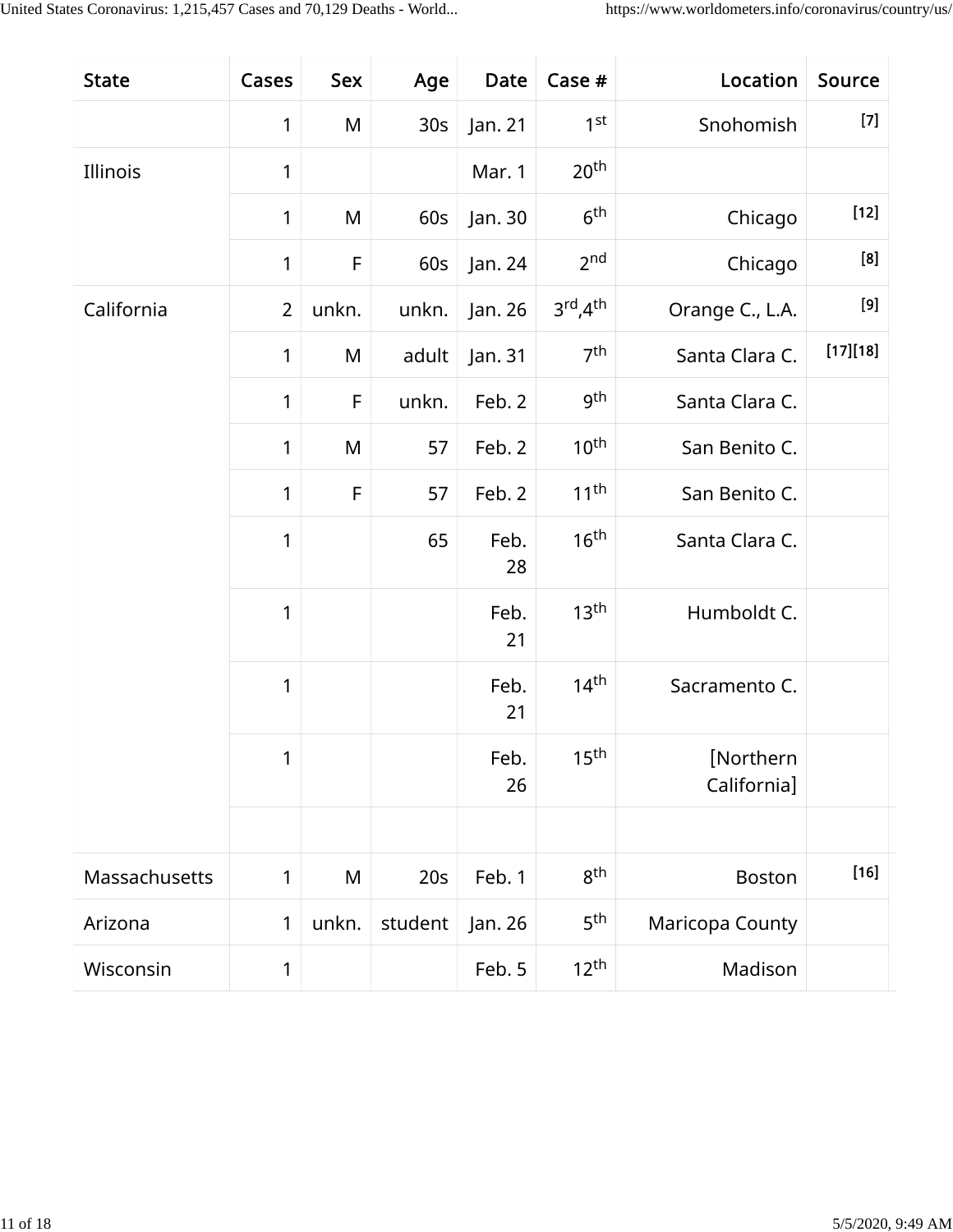| <b>State</b>  | Cases          | Sex   | Age             | Date       | Case #                            | Location                 | Source   |
|---------------|----------------|-------|-----------------|------------|-----------------------------------|--------------------------|----------|
|               | 1              | M     | 30 <sub>S</sub> | Jan. 21    | 1 <sup>st</sup>                   | Snohomish                | $[7]$    |
| Illinois      | 1              |       |                 | Mar. 1     | 20 <sup>th</sup>                  |                          |          |
|               | $\mathbf{1}$   | M     | 60s             | Jan. 30    | 6 <sup>th</sup>                   | Chicago                  | $[12]$   |
|               | 1              | F     | 60s             | Jan. 24    | 2 <sub>nd</sub>                   | Chicago                  | [8]      |
| California    | $\overline{2}$ | unkn. | unkn.           | Jan. 26    | $3^{\text{rd}}$ , $4^{\text{th}}$ | Orange C., L.A.          |          |
|               | $\mathbf{1}$   | M     | adult           | Jan. 31    | 7 <sup>th</sup>                   | Santa Clara C.           | [17][18] |
|               | $\mathbf{1}$   | F     | unkn.           | Feb. 2     | gth                               | Santa Clara C.           |          |
|               | $\mathbf{1}$   | M     | 57              | Feb. 2     | 10 <sup>th</sup>                  | San Benito C.            |          |
|               | $\mathbf{1}$   | F     | 57              | Feb. 2     | 11 <sup>th</sup>                  | San Benito C.            |          |
|               | 1              |       | 65              | Feb.<br>28 | 16 <sup>th</sup>                  | Santa Clara C.           |          |
|               | 1              |       |                 | Feb.<br>21 | 13 <sup>th</sup>                  | Humboldt C.              |          |
|               | 1              |       |                 | Feb.<br>21 | 14 <sup>th</sup>                  | Sacramento C.            |          |
|               | 1              |       |                 | Feb.<br>26 | 15 <sup>th</sup>                  | [Northern<br>California] |          |
|               |                |       |                 |            |                                   |                          |          |
| Massachusetts | 1              | M     | 20s             | Feb. 1     | 8 <sup>th</sup>                   | <b>Boston</b>            | $[16]$   |
| Arizona       | 1              | unkn. | student         | Jan. 26    | 5 <sup>th</sup>                   | Maricopa County          |          |
| Wisconsin     | 1              |       |                 | Feb. 5     | $12^{th}$                         | Madison                  |          |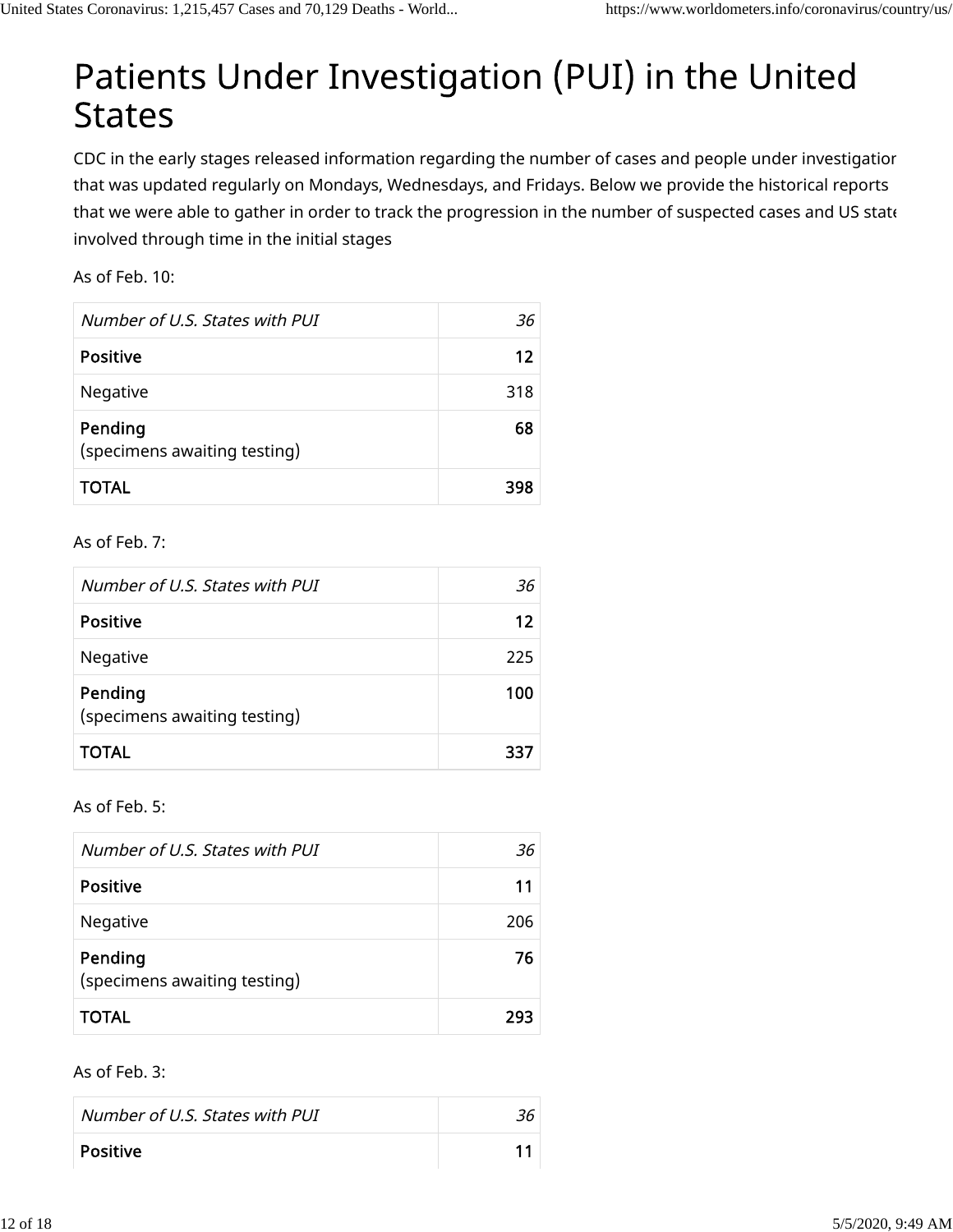# Patients Under Investigation (PUI) in the United **States**

CDC in the early stages released information regarding the number of cases and people under investigation that was updated regularly on Mondays, Wednesdays, and Fridays. Below we provide the historical reports that we were able to gather in order to track the progression in the number of suspected cases and US state involved through time in the initial stages

As of Feb. 10:

| Number of U.S. States with PUI          | 36  |
|-----------------------------------------|-----|
| <b>Positive</b>                         | 12  |
| Negative                                | 318 |
| Pending<br>(specimens awaiting testing) | 68  |
| <b>TOTAL</b>                            | 398 |

As of Feb. 7:

| Number of U.S. States with PUI          | 36  |
|-----------------------------------------|-----|
| <b>Positive</b>                         | 12  |
| Negative                                | 225 |
| Pending<br>(specimens awaiting testing) | 100 |
| <b>TOTAL</b>                            | 337 |

As of Feb. 5:

| Number of U.S. States with PUI          | 36  |
|-----------------------------------------|-----|
| <b>Positive</b>                         | 11  |
| Negative                                | 206 |
| Pending<br>(specimens awaiting testing) | 76  |
| <b>TOTAL</b>                            | 293 |

#### As of Feb. 3:

| Number of U.S. States with PUI |  |
|--------------------------------|--|
| <b>Positive</b>                |  |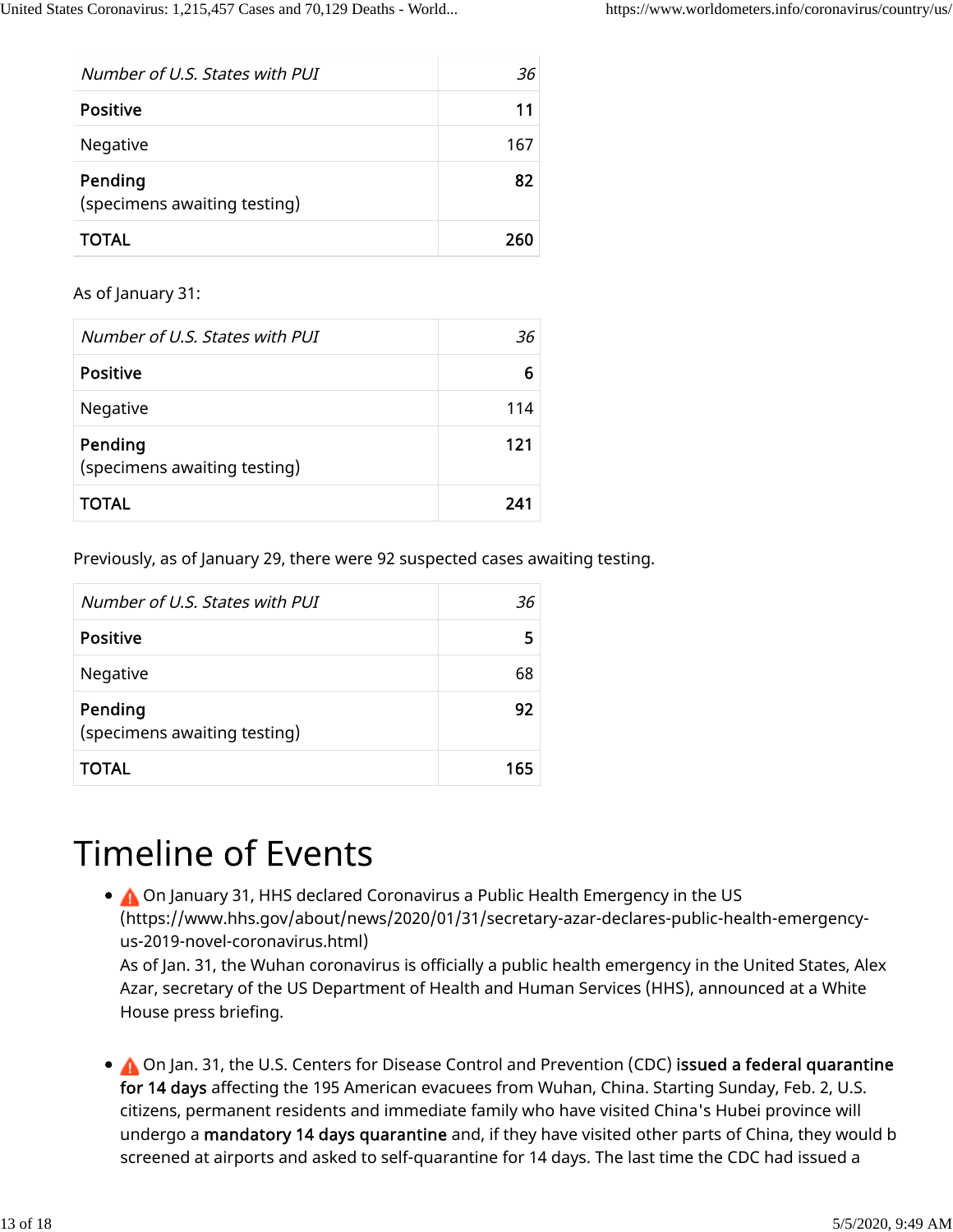| Number of U.S. States with PUI          | 36  |
|-----------------------------------------|-----|
| <b>Positive</b>                         | 11  |
| Negative                                | 167 |
| Pending<br>(specimens awaiting testing) | 82  |
| <b>TOTAL</b>                            | 260 |

As of January 31:

| Number of U.S. States with PUI          | -36 |
|-----------------------------------------|-----|
| <b>Positive</b>                         | 6   |
| Negative                                | 114 |
| Pending<br>(specimens awaiting testing) | 121 |
| <b>TOTAL</b>                            | 241 |

Previously, as of January 29, there were 92 suspected cases awaiting testing.

| Number of U.S. States with PUI          | 36  |
|-----------------------------------------|-----|
| <b>Positive</b>                         | 5   |
| Negative                                | 68  |
| Pending<br>(specimens awaiting testing) | 92  |
| <b>TOTAL</b>                            | 165 |

# **Timeline of Events**

On January 31, HHS declared Coronavirus a Public Health Emergency in the US (https://www.hhs.gov/about/news/2020/01/31/secretary-azar-declares-public-health-emergencyus-2019-novel-coronavirus.html) As of Jan. 31, the Wuhan coronavirus is officially a public health emergency in the United States, Alex Azar, secretary of the US Department of Health and Human Services (HHS), announced at a White

House press briefing.

 $\bullet$  On Jan. 31, the U.S. Centers for Disease Control and Prevention (CDC) issued a federal quarantine for 14 days affecting the 195 American evacuees from Wuhan, China. Starting Sunday, Feb. 2, U.S. citizens, permanent residents and immediate family who have visited China's Hubei province will undergo a mandatory 14 days quarantine and, if they have visited other parts of China, they would b screened at airports and asked to self-quarantine for 14 days. The last time the CDC had issued a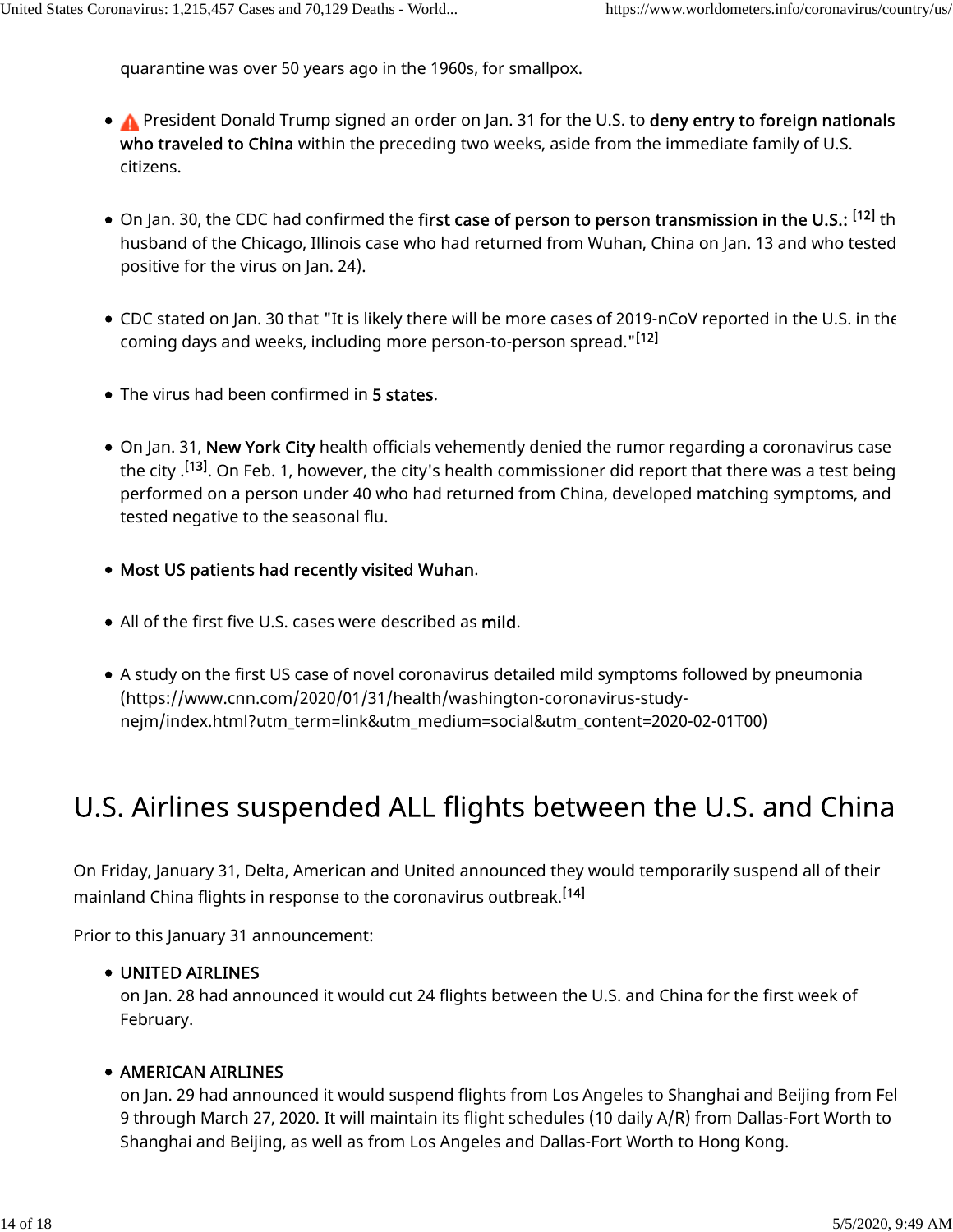quarantine was over 50 years ago in the 1960s, for smallpox.

- A President Donald Trump signed an order on Jan. 31 for the U.S. to deny entry to foreign nationals who traveled to China within the preceding two weeks, aside from the immediate family of U.S. citizens.
- On Jan. 30, the CDC had confirmed the first case of person to person transmission in the U.S.: <sup>[12]</sup> th husband of the Chicago, Illinois case who had returned from Wuhan, China on Jan. 13 and who tested positive for the virus on Jan. 24).
- CDC stated on Jan. 30 that "It is likely there will be more cases of 2019-nCoV reported in the U.S. in the coming days and weeks, including more person-to-person spread." [12]
- The virus had been confirmed in 5 states.
- On Jan. 31, New York City health officials vehemently denied the rumor regarding a coronavirus case the city .<sup>[13]</sup>. On Feb. 1, however, the city's health commissioner did report that there was a test being performed on a person under 40 who had returned from China, developed matching symptoms, and tested negative to the seasonal flu.
- Most US patients had recently visited Wuhan.
- All of the first five U.S. cases were described as mild.
- A study on the first US case of novel coronavirus detailed mild symptoms followed by pneumonia (https://www.cnn.com/2020/01/31/health/washington-coronavirus-studynejm/index.html?utm\_term=link&utm\_medium=social&utm\_content=2020-02-01T00)

## U.S. Airlines suspended ALL flights between the U.S. and China

On Friday, January 31, Delta, American and United announced they would temporarily suspend all of their mainland China flights in response to the coronavirus outbreak. [14]

Prior to this January 31 announcement:

#### UNITED AIRLINES

on Jan. 28 had announced it would cut 24 flights between the U.S. and China for the first week of February.

#### **• AMERICAN AIRLINES**

on Jan. 29 had announced it would suspend flights from Los Angeles to Shanghai and Beijing from Fel 9 through March 27, 2020. It will maintain its flight schedules (10 daily A/R) from Dallas-Fort Worth to Shanghai and Beijing, as well as from Los Angeles and Dallas-Fort Worth to Hong Kong.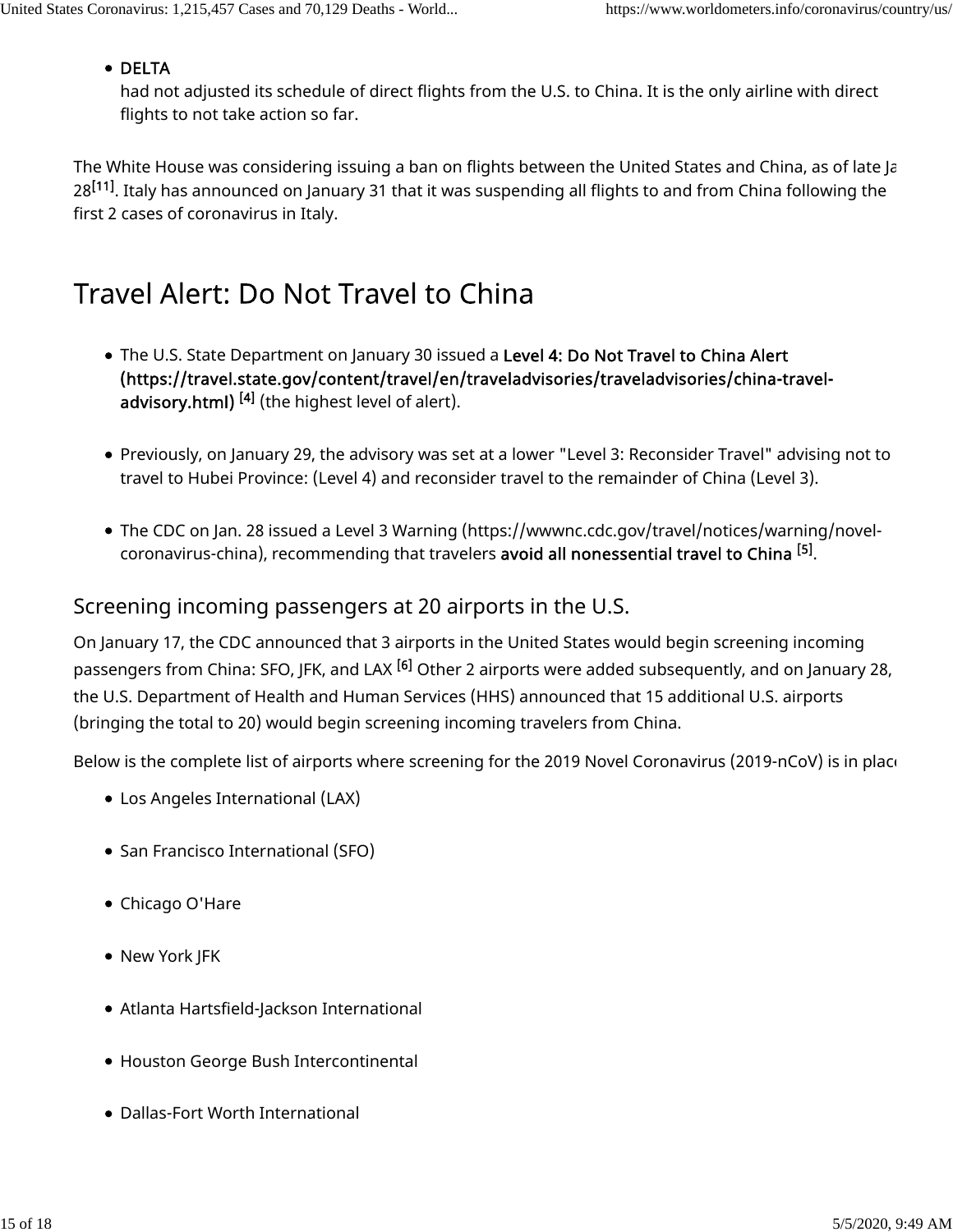#### • DELTA

had not adjusted its schedule of direct flights from the U.S. to China. It is the only airline with direct flights to not take action so far.

The White House was considering issuing a ban on flights between the United States and China, as of late Ja 28<sup>[11]</sup>. Italy has announced on January 31 that it was suspending all flights to and from China following the first 2 cases of coronavirus in Italy.

### Travel Alert: Do Not Travel to China

- The U.S. State Department on January 30 issued a Level 4: Do Not Travel to China Alert (https://travel.state.gov/content/travel/en/traveladvisories/traveladvisories/china-traveladvisory.html) <sup>[4]</sup> (the highest level of alert).
- Previously, on January 29, the advisory was set at a lower "Level 3: Reconsider Travel" advising not to travel to Hubei Province: (Level 4) and reconsider travel to the remainder of China (Level 3).
- The CDC on Jan. 28 issued a Level 3 Warning (https://wwwnc.cdc.gov/travel/notices/warning/novelcoronavirus-china), recommending that travelers **avoid all nonessential travel to China <sup>[5]</sup>.**

#### Screening incoming passengers at 20 airports in the U.S.

On January 17, the CDC announced that 3 airports in the United States would begin screening incoming passengers from China: SFO, JFK, and LAX <sup>[6]</sup> Other 2 airports were added subsequently, and on January 28, the U.S. Department of Health and Human Services (HHS) announced that 15 additional U.S. airports (bringing the total to 20) would begin screening incoming travelers from China.

Below is the complete list of airports where screening for the 2019 Novel Coronavirus (2019-nCoV) is in place

- Los Angeles International (LAX)
- San Francisco International (SFO)
- Chicago O'Hare
- New York JFK
- Atlanta Hartsfield-Jackson International
- Houston George Bush Intercontinental
- Dallas-Fort Worth International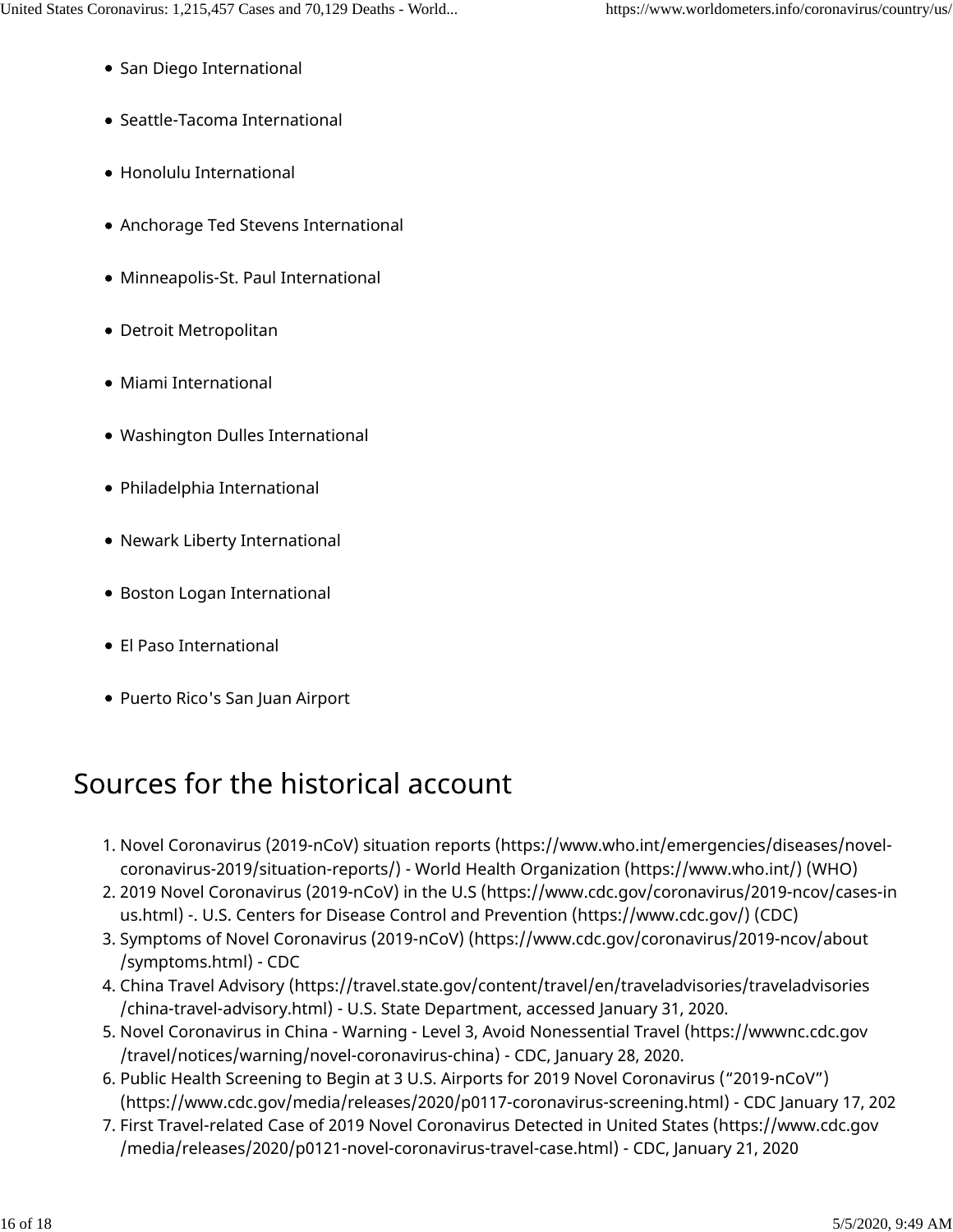- **San Diego International**
- Seattle-Tacoma International
- Honolulu International
- Anchorage Ted Stevens International
- Minneapolis-St. Paul International
- Detroit Metropolitan
- Miami International
- Washington Dulles International
- Philadelphia International
- Newark Liberty International
- Boston Logan International
- El Paso International
- Puerto Rico's San Juan Airport

## Sources for the historical account

- 1. Novel Coronavirus (2019-nCoV) situation reports (https://www.who.int/emergencies/diseases/novelcoronavirus-2019/situation-reports/) - World Health Organization (https://www.who.int/) (WHO)
- 2. 2019 Novel Coronavirus (2019-nCoV) in the U.S (https://www.cdc.gov/coronavirus/2019-ncov/cases-in us.html) -. U.S. Centers for Disease Control and Prevention (https://www.cdc.gov/) (CDC)
- 3. Symptoms of Novel Coronavirus (2019-nCoV) (https://www.cdc.gov/coronavirus/2019-ncov/about /symptoms.html) - CDC
- 4. China Travel Advisory (https://travel.state.gov/content/travel/en/traveladvisories/traveladvisories /china-travel-advisory.html) - U.S. State Department, accessed January 31, 2020.
- 5. Novel Coronavirus in China Warning Level 3, Avoid Nonessential Travel (https://wwwnc.cdc.gov /travel/notices/warning/novel-coronavirus-china) - CDC, January 28, 2020.
- 6. Public Health Screening to Begin at 3 U.S. Airports for 2019 Novel Coronavirus ("2019-nCoV") (https://www.cdc.gov/media/releases/2020/p0117-coronavirus-screening.html) - CDC January 17, 202
- 7. First Travel-related Case of 2019 Novel Coronavirus Detected in United States (https://www.cdc.gov /media/releases/2020/p0121-novel-coronavirus-travel-case.html) - CDC, January 21, 2020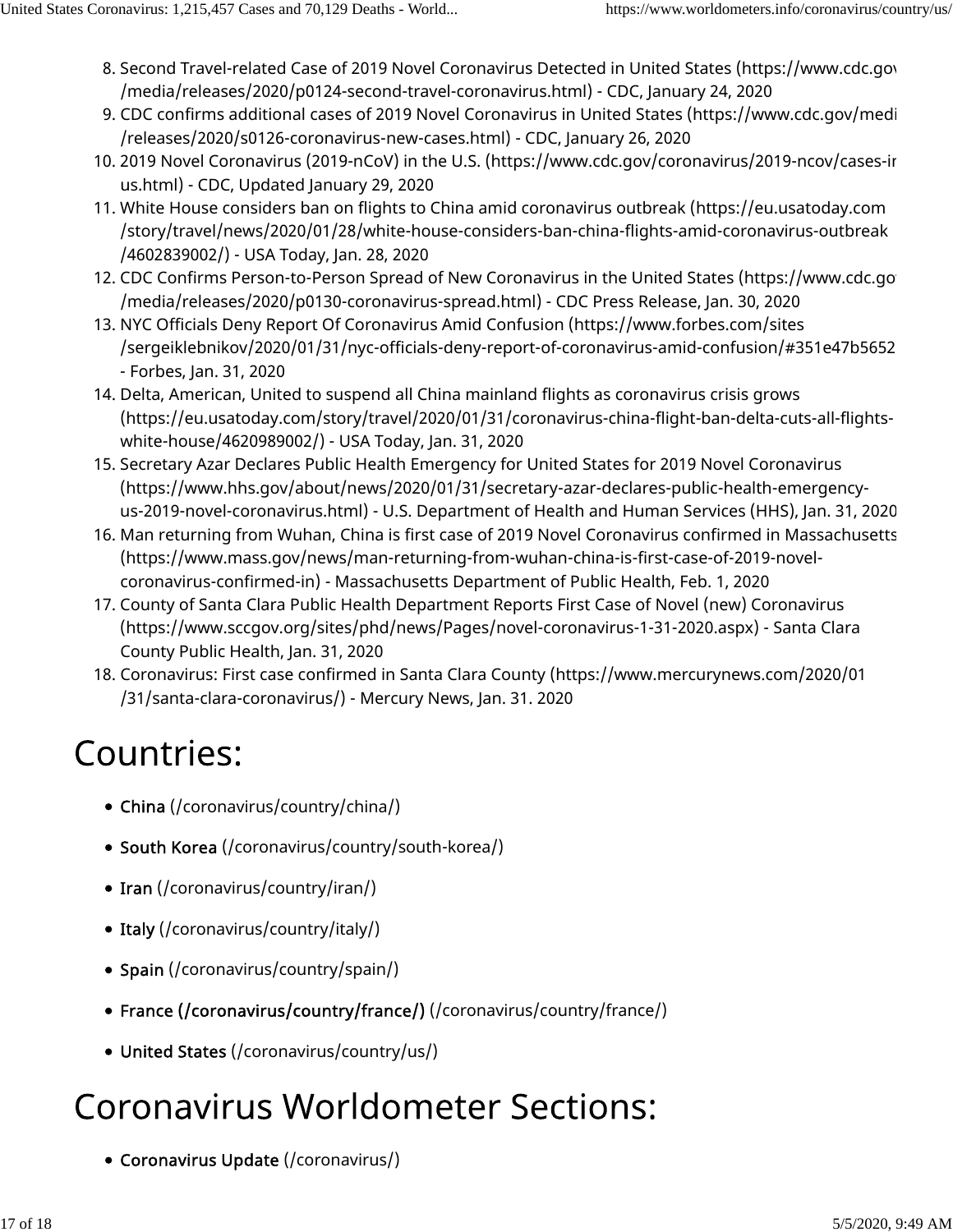- 8. Second Travel-related Case of 2019 Novel Coronavirus Detected in United States (https://www.cdc.gov /media/releases/2020/p0124-second-travel-coronavirus.html) - CDC, January 24, 2020
- 9. CDC confirms additional cases of 2019 Novel Coronavirus in United States (https://www.cdc.gov/medi /releases/2020/s0126-coronavirus-new-cases.html) - CDC, January 26, 2020
- 10. 2019 Novel Coronavirus (2019-nCoV) in the U.S. (https://www.cdc.gov/coronavirus/2019-ncov/cases-in us.html) - CDC, Updated January 29, 2020
- 11. White House considers ban on flights to China amid coronavirus outbreak (https://eu.usatoday.com /story/travel/news/2020/01/28/white-house-considers-ban-china-flights-amid-coronavirus-outbreak /4602839002/) - USA Today, Jan. 28, 2020
- 12. CDC Confirms Person-to-Person Spread of New Coronavirus in the United States (https://www.cdc.go /media/releases/2020/p0130-coronavirus-spread.html) - CDC Press Release, Jan. 30, 2020
- 13. NYC Officials Deny Report Of Coronavirus Amid Confusion (https://www.forbes.com/sites /sergeiklebnikov/2020/01/31/nyc-officials-deny-report-of-coronavirus-amid-confusion/#351e47b5652 - Forbes, Jan. 31, 2020
- 14. Delta, American, United to suspend all China mainland flights as coronavirus crisis grows (https://eu.usatoday.com/story/travel/2020/01/31/coronavirus-china-flight-ban-delta-cuts-all-flightswhite-house/4620989002/) - USA Today, Jan. 31, 2020
- 15. Secretary Azar Declares Public Health Emergency for United States for 2019 Novel Coronavirus (https://www.hhs.gov/about/news/2020/01/31/secretary-azar-declares-public-health-emergencyus-2019-novel-coronavirus.html) - U.S. Department of Health and Human Services (HHS), Jan. 31, 2020
- 16. Man returning from Wuhan, China is first case of 2019 Novel Coronavirus confirmed in Massachusetts (https://www.mass.gov/news/man-returning-from-wuhan-china-is-first-case-of-2019-novelcoronavirus-confirmed-in) - Massachusetts Department of Public Health, Feb. 1, 2020
- 17. County of Santa Clara Public Health Department Reports First Case of Novel (new) Coronavirus (https://www.sccgov.org/sites/phd/news/Pages/novel-coronavirus-1-31-2020.aspx) - Santa Clara County Public Health, Jan. 31, 2020
- 18. Coronavirus: First case confirmed in Santa Clara County (https://www.mercurynews.com/2020/01 /31/santa-clara-coronavirus/) - Mercury News, Jan. 31. 2020

# **Countries:**

- China (/coronavirus/country/china/)
- South Korea (/coronavirus/country/south-korea/)
- Iran (/coronavirus/country/iran/)
- Italy (/coronavirus/country/italy/)
- Spain (/coronavirus/country/spain/)
- France (/coronavirus/country/france/) (/coronavirus/country/france/)
- United States (/coronavirus/country/us/)

# **Coronavirus Worldometer Sections:**

Coronavirus Update (/coronavirus/)